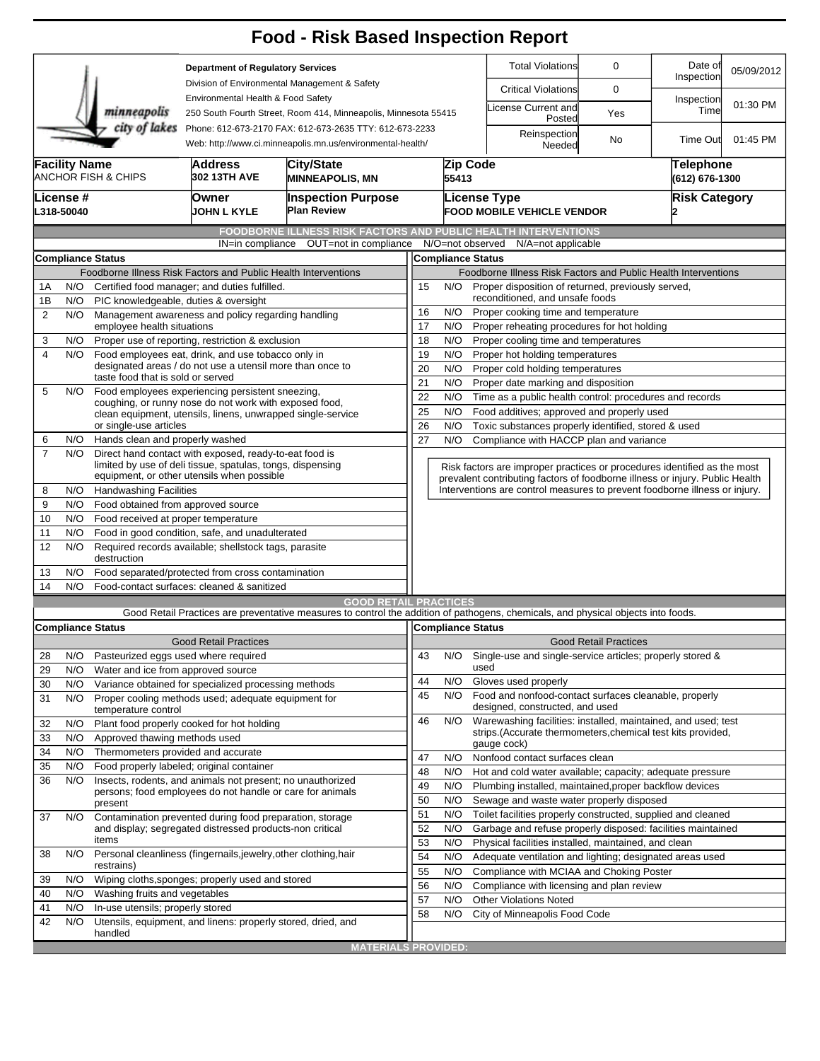|                                                                                                                                                                       |                                                           |                                                                                                            |                                                                  | <b>Food - Risk Based Inspection Report</b>                                                                                                                        |                                                                                                                                                            |                                                                      |                                                                                                          |                              |                             |            |  |  |
|-----------------------------------------------------------------------------------------------------------------------------------------------------------------------|-----------------------------------------------------------|------------------------------------------------------------------------------------------------------------|------------------------------------------------------------------|-------------------------------------------------------------------------------------------------------------------------------------------------------------------|------------------------------------------------------------------------------------------------------------------------------------------------------------|----------------------------------------------------------------------|----------------------------------------------------------------------------------------------------------|------------------------------|-----------------------------|------------|--|--|
| <b>Department of Regulatory Services</b>                                                                                                                              |                                                           |                                                                                                            |                                                                  |                                                                                                                                                                   |                                                                                                                                                            |                                                                      | <b>Total Violations</b>                                                                                  | 0                            | Date of<br>Inspection       | 05/09/2012 |  |  |
| Division of Environmental Management & Safety<br>Environmental Health & Food Safety<br>minneapolis<br>250 South Fourth Street, Room 414, Minneapolis, Minnesota 55415 |                                                           |                                                                                                            |                                                                  |                                                                                                                                                                   |                                                                                                                                                            |                                                                      | <b>Critical Violations</b>                                                                               | 0                            |                             |            |  |  |
|                                                                                                                                                                       |                                                           |                                                                                                            |                                                                  |                                                                                                                                                                   |                                                                                                                                                            |                                                                      | icense Current and                                                                                       | Yes                          | Inspection<br>Time          | 01:30 PM   |  |  |
| city of lakes<br>Phone: 612-673-2170 FAX: 612-673-2635 TTY: 612-673-2233<br>Web: http://www.ci.minneapolis.mn.us/environmental-health/                                |                                                           |                                                                                                            |                                                                  |                                                                                                                                                                   |                                                                                                                                                            |                                                                      | Posted                                                                                                   |                              |                             |            |  |  |
|                                                                                                                                                                       |                                                           |                                                                                                            |                                                                  |                                                                                                                                                                   |                                                                                                                                                            |                                                                      | Reinspection<br>Needed                                                                                   | No                           | <b>Time Out</b>             | 01:45 PM   |  |  |
|                                                                                                                                                                       | <b>Facility Name</b>                                      | <b>ANCHOR FISH &amp; CHIPS</b>                                                                             | <b>Address</b><br>302 13TH AVE                                   | City/State<br><b>MINNEAPOLIS, MN</b>                                                                                                                              |                                                                                                                                                            | Zip Code<br>55413                                                    |                                                                                                          |                              | Telephone<br>(612) 676-1300 |            |  |  |
|                                                                                                                                                                       | License #<br>L318-50040                                   |                                                                                                            | Owner<br><b>JOHN L KYLE</b>                                      | <b>Inspection Purpose</b><br><b>Plan Review</b>                                                                                                                   |                                                                                                                                                            |                                                                      | License Type<br><b>Risk Category</b><br><b>FOOD MOBILE VEHICLE VENDOR</b>                                |                              |                             |            |  |  |
|                                                                                                                                                                       |                                                           |                                                                                                            |                                                                  | <b>FOODBORNE ILLNESS RISK FACTORS AND PUBLIC HEALTH INTERVENTIONS</b>                                                                                             |                                                                                                                                                            |                                                                      |                                                                                                          |                              |                             |            |  |  |
|                                                                                                                                                                       |                                                           |                                                                                                            | IN=in compliance                                                 | OUT=not in compliance                                                                                                                                             |                                                                                                                                                            |                                                                      | N/O=not observed<br>N/A=not applicable                                                                   |                              |                             |            |  |  |
|                                                                                                                                                                       |                                                           | <b>Compliance Status</b>                                                                                   |                                                                  |                                                                                                                                                                   | <b>Compliance Status</b>                                                                                                                                   |                                                                      |                                                                                                          |                              |                             |            |  |  |
|                                                                                                                                                                       |                                                           |                                                                                                            | Foodborne Illness Risk Factors and Public Health Interventions   |                                                                                                                                                                   | Foodborne Illness Risk Factors and Public Health Interventions                                                                                             |                                                                      |                                                                                                          |                              |                             |            |  |  |
| 1A                                                                                                                                                                    | N/O                                                       |                                                                                                            | Certified food manager; and duties fulfilled.                    |                                                                                                                                                                   | Proper disposition of returned, previously served,<br>15<br>N/O                                                                                            |                                                                      |                                                                                                          |                              |                             |            |  |  |
| 1B<br>$\overline{2}$                                                                                                                                                  | N/O                                                       | PIC knowledgeable, duties & oversight                                                                      |                                                                  |                                                                                                                                                                   | reconditioned, and unsafe foods<br>N/O<br>16<br>Proper cooking time and temperature                                                                        |                                                                      |                                                                                                          |                              |                             |            |  |  |
|                                                                                                                                                                       | N/O                                                       | employee health situations                                                                                 | Management awareness and policy regarding handling               |                                                                                                                                                                   | 17<br>N/O<br>Proper reheating procedures for hot holding                                                                                                   |                                                                      |                                                                                                          |                              |                             |            |  |  |
| 3                                                                                                                                                                     | N/O                                                       |                                                                                                            | Proper use of reporting, restriction & exclusion                 |                                                                                                                                                                   | 18<br>N/O<br>Proper cooling time and temperatures                                                                                                          |                                                                      |                                                                                                          |                              |                             |            |  |  |
| $\overline{4}$                                                                                                                                                        | Food employees eat, drink, and use tobacco only in<br>N/O |                                                                                                            |                                                                  |                                                                                                                                                                   | 19<br>N/O<br>Proper hot holding temperatures                                                                                                               |                                                                      |                                                                                                          |                              |                             |            |  |  |
|                                                                                                                                                                       |                                                           |                                                                                                            | designated areas / do not use a utensil more than once to        | 20<br>N/O<br>Proper cold holding temperatures                                                                                                                     |                                                                                                                                                            |                                                                      |                                                                                                          |                              |                             |            |  |  |
| 5                                                                                                                                                                     | N/O                                                       | taste food that is sold or served                                                                          |                                                                  |                                                                                                                                                                   | 21<br>N/O<br>Proper date marking and disposition                                                                                                           |                                                                      |                                                                                                          |                              |                             |            |  |  |
|                                                                                                                                                                       |                                                           | Food employees experiencing persistent sneezing,<br>coughing, or runny nose do not work with exposed food, |                                                                  |                                                                                                                                                                   |                                                                                                                                                            | 22<br>N/O<br>Time as a public health control: procedures and records |                                                                                                          |                              |                             |            |  |  |
|                                                                                                                                                                       |                                                           |                                                                                                            | clean equipment, utensils, linens, unwrapped single-service      | N/O<br>Food additives; approved and properly used<br>25                                                                                                           |                                                                                                                                                            |                                                                      |                                                                                                          |                              |                             |            |  |  |
|                                                                                                                                                                       | or single-use articles                                    |                                                                                                            |                                                                  |                                                                                                                                                                   | 26<br>N/O<br>Toxic substances properly identified, stored & used<br>Compliance with HACCP plan and variance                                                |                                                                      |                                                                                                          |                              |                             |            |  |  |
| 6<br>$\overline{7}$                                                                                                                                                   | N/O<br>N/O                                                | Hands clean and properly washed                                                                            | Direct hand contact with exposed, ready-to-eat food is           |                                                                                                                                                                   | 27                                                                                                                                                         | N/O                                                                  |                                                                                                          |                              |                             |            |  |  |
|                                                                                                                                                                       |                                                           | limited by use of deli tissue, spatulas, tongs, dispensing                                                 |                                                                  |                                                                                                                                                                   |                                                                                                                                                            |                                                                      | Risk factors are improper practices or procedures identified as the most                                 |                              |                             |            |  |  |
|                                                                                                                                                                       | equipment, or other utensils when possible                |                                                                                                            |                                                                  |                                                                                                                                                                   | prevalent contributing factors of foodborne illness or injury. Public Health<br>Interventions are control measures to prevent foodborne illness or injury. |                                                                      |                                                                                                          |                              |                             |            |  |  |
| 8                                                                                                                                                                     | N/O                                                       | <b>Handwashing Facilities</b>                                                                              |                                                                  |                                                                                                                                                                   |                                                                                                                                                            |                                                                      |                                                                                                          |                              |                             |            |  |  |
| 9                                                                                                                                                                     | N/O                                                       | Food obtained from approved source                                                                         |                                                                  |                                                                                                                                                                   |                                                                                                                                                            |                                                                      |                                                                                                          |                              |                             |            |  |  |
| 10<br>11                                                                                                                                                              | N/O<br>N/O                                                | Food received at proper temperature                                                                        |                                                                  |                                                                                                                                                                   |                                                                                                                                                            |                                                                      |                                                                                                          |                              |                             |            |  |  |
| 12                                                                                                                                                                    | N/O                                                       | Food in good condition, safe, and unadulterated<br>Required records available; shellstock tags, parasite   |                                                                  |                                                                                                                                                                   |                                                                                                                                                            |                                                                      |                                                                                                          |                              |                             |            |  |  |
|                                                                                                                                                                       | destruction                                               |                                                                                                            |                                                                  |                                                                                                                                                                   |                                                                                                                                                            |                                                                      |                                                                                                          |                              |                             |            |  |  |
| 13                                                                                                                                                                    | N/O                                                       | Food separated/protected from cross contamination                                                          |                                                                  |                                                                                                                                                                   |                                                                                                                                                            |                                                                      |                                                                                                          |                              |                             |            |  |  |
| 14                                                                                                                                                                    | N/O                                                       | Food-contact surfaces: cleaned & sanitized                                                                 |                                                                  |                                                                                                                                                                   |                                                                                                                                                            |                                                                      |                                                                                                          |                              |                             |            |  |  |
|                                                                                                                                                                       |                                                           |                                                                                                            |                                                                  | <b>GOOD RETAIL PRACTICES</b><br>Good Retail Practices are preventative measures to control the addition of pathogens, chemicals, and physical objects into foods. |                                                                                                                                                            |                                                                      |                                                                                                          |                              |                             |            |  |  |
|                                                                                                                                                                       |                                                           | <b>Compliance Status</b>                                                                                   |                                                                  |                                                                                                                                                                   |                                                                                                                                                            |                                                                      | Compliance Status                                                                                        |                              |                             |            |  |  |
|                                                                                                                                                                       |                                                           |                                                                                                            | <b>Good Retail Practices</b>                                     |                                                                                                                                                                   |                                                                                                                                                            |                                                                      |                                                                                                          | <b>Good Retail Practices</b> |                             |            |  |  |
| 28                                                                                                                                                                    | N/O                                                       | Pasteurized eggs used where required                                                                       |                                                                  |                                                                                                                                                                   | 43                                                                                                                                                         | N/O                                                                  | Single-use and single-service articles; properly stored &                                                |                              |                             |            |  |  |
| 29                                                                                                                                                                    | N/O                                                       | Water and ice from approved source                                                                         |                                                                  |                                                                                                                                                                   |                                                                                                                                                            |                                                                      | used                                                                                                     |                              |                             |            |  |  |
| 30                                                                                                                                                                    | N/O                                                       |                                                                                                            | Variance obtained for specialized processing methods             |                                                                                                                                                                   | 44                                                                                                                                                         | N/O                                                                  | Gloves used properly                                                                                     |                              |                             |            |  |  |
| 31                                                                                                                                                                    | N/O                                                       | temperature control                                                                                        | Proper cooling methods used; adequate equipment for              |                                                                                                                                                                   | 45                                                                                                                                                         | N/O                                                                  | Food and nonfood-contact surfaces cleanable, properly<br>designed, constructed, and used                 |                              |                             |            |  |  |
| 32                                                                                                                                                                    | N/O                                                       |                                                                                                            | Plant food properly cooked for hot holding                       |                                                                                                                                                                   | 46                                                                                                                                                         | N/O                                                                  | Warewashing facilities: installed, maintained, and used; test                                            |                              |                             |            |  |  |
| 33                                                                                                                                                                    | N/O                                                       | Approved thawing methods used                                                                              |                                                                  |                                                                                                                                                                   |                                                                                                                                                            |                                                                      | strips. (Accurate thermometers, chemical test kits provided,                                             |                              |                             |            |  |  |
| 34                                                                                                                                                                    | N/O                                                       | Thermometers provided and accurate                                                                         |                                                                  |                                                                                                                                                                   | 47                                                                                                                                                         | N/O                                                                  | gauge cock)                                                                                              |                              |                             |            |  |  |
| 35                                                                                                                                                                    | N/O                                                       |                                                                                                            | Food properly labeled; original container                        |                                                                                                                                                                   |                                                                                                                                                            |                                                                      | Nonfood contact surfaces clean<br>48<br>N/O<br>Hot and cold water available; capacity; adequate pressure |                              |                             |            |  |  |
| 36                                                                                                                                                                    | N/O                                                       |                                                                                                            | Insects, rodents, and animals not present; no unauthorized       |                                                                                                                                                                   | 49                                                                                                                                                         | N/O                                                                  | Plumbing installed, maintained, proper backflow devices                                                  |                              |                             |            |  |  |
|                                                                                                                                                                       |                                                           | present                                                                                                    | persons; food employees do not handle or care for animals        |                                                                                                                                                                   | 50                                                                                                                                                         | N/O                                                                  | Sewage and waste water properly disposed                                                                 |                              |                             |            |  |  |
| 37                                                                                                                                                                    | N/O                                                       |                                                                                                            | Contamination prevented during food preparation, storage         |                                                                                                                                                                   | 51                                                                                                                                                         | N/O                                                                  | Toilet facilities properly constructed, supplied and cleaned                                             |                              |                             |            |  |  |
|                                                                                                                                                                       |                                                           |                                                                                                            | and display; segregated distressed products-non critical         |                                                                                                                                                                   | 52                                                                                                                                                         | N/O                                                                  | Garbage and refuse properly disposed: facilities maintained                                              |                              |                             |            |  |  |
|                                                                                                                                                                       |                                                           | items                                                                                                      |                                                                  |                                                                                                                                                                   |                                                                                                                                                            |                                                                      | Physical facilities installed, maintained, and clean                                                     |                              |                             |            |  |  |
| 38                                                                                                                                                                    | N/O                                                       | restrains)                                                                                                 | Personal cleanliness (fingernails, jewelry, other clothing, hair |                                                                                                                                                                   |                                                                                                                                                            |                                                                      | Adequate ventilation and lighting; designated areas used                                                 |                              |                             |            |  |  |
| 39                                                                                                                                                                    | N/O                                                       |                                                                                                            | Wiping cloths, sponges; properly used and stored                 |                                                                                                                                                                   | 55<br>N/O<br>Compliance with MCIAA and Choking Poster                                                                                                      |                                                                      |                                                                                                          |                              |                             |            |  |  |
| 40                                                                                                                                                                    | N/O                                                       | Washing fruits and vegetables                                                                              |                                                                  |                                                                                                                                                                   | 56                                                                                                                                                         | N/O                                                                  | Compliance with licensing and plan review                                                                |                              |                             |            |  |  |
| 41                                                                                                                                                                    | N/O                                                       | In-use utensils; properly stored                                                                           |                                                                  |                                                                                                                                                                   | 57                                                                                                                                                         | N/O                                                                  | <b>Other Violations Noted</b>                                                                            |                              |                             |            |  |  |
| 42                                                                                                                                                                    | N/O                                                       |                                                                                                            | Utensils, equipment, and linens: properly stored, dried, and     |                                                                                                                                                                   | 58                                                                                                                                                         | N/O                                                                  | City of Minneapolis Food Code                                                                            |                              |                             |            |  |  |
|                                                                                                                                                                       |                                                           | handled                                                                                                    |                                                                  |                                                                                                                                                                   |                                                                                                                                                            |                                                                      |                                                                                                          |                              |                             |            |  |  |
|                                                                                                                                                                       |                                                           |                                                                                                            |                                                                  | <b>MATERIALS PROVIDED:</b>                                                                                                                                        |                                                                                                                                                            |                                                                      |                                                                                                          |                              |                             |            |  |  |